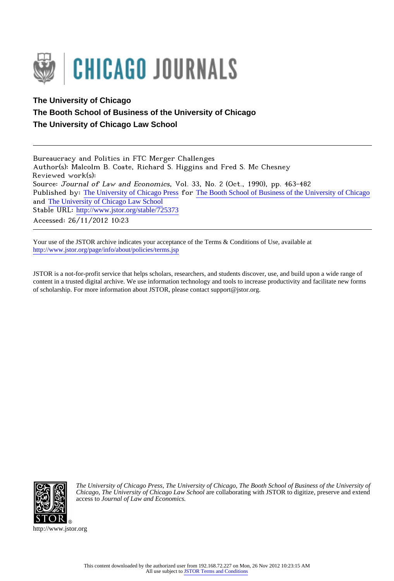

**The University of Chicago The Booth School of Business of the University of Chicago The University of Chicago Law School**

Bureaucracy and Politics in FTC Merger Challenges Author(s): Malcolm B. Coate, Richard S. Higgins and Fred S. Mc Chesney Reviewed work(s): Source: Journal of Law and Economics, Vol. 33, No. 2 (Oct., 1990), pp. 463-482 Published by: [The University of Chicago Press](http://www.jstor.org/action/showPublisher?publisherCode=ucpress) for [The Booth School of Business of the University of Chicago](http://www.jstor.org/action/showPublisher?publisherCode=chicagobooth) and [The University of Chicago Law School](http://www.jstor.org/action/showPublisher?publisherCode=chicagolaw) Stable URL: http://www.jstor.org/stable/725373 Accessed: 26/11/2012 10:23

Your use of the JSTOR archive indicates your acceptance of the Terms & Conditions of Use, available at <http://www.jstor.org/page/info/about/policies/terms.jsp>

JSTOR is a not-for-profit service that helps scholars, researchers, and students discover, use, and build upon a wide range of content in a trusted digital archive. We use information technology and tools to increase productivity and facilitate new forms of scholarship. For more information about JSTOR, please contact support@jstor.org.



*The University of Chicago Press*, *The University of Chicago*, *The Booth School of Business of the University of Chicago*, *The University of Chicago Law School* are collaborating with JSTOR to digitize, preserve and extend access to *Journal of Law and Economics.*

http://www.jstor.org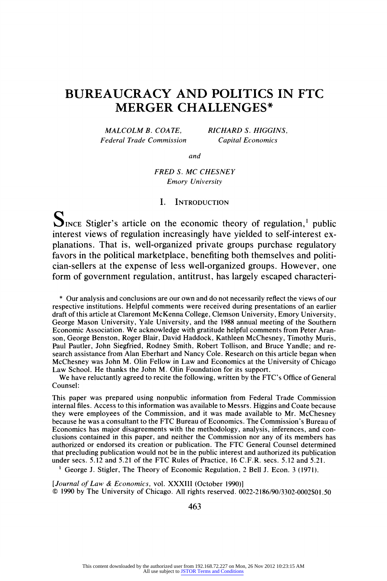# **BUREAUCRACY AND POLITICS IN FTC MERGER CHALLENGES\***

**MALCOLM B. COATE, RICHARD S. HIGGINS, Federal Trade Commission Capital Economics** 

**and** 

**FRED S. MC CHESNEY Emory University** 

**I. INTRODUCTION** 

 $\mathbf{S}_{\text{INCE}}$  Stigler's article on the economic theory of regulation,<sup>1</sup> public **interest views of regulation increasingly have yielded to self-interest explanations. That is, well-organized private groups purchase regulatory favors in the political marketplace, benefiting both themselves and politician-sellers at the expense of less well-organized groups. However, one form of government regulation, antitrust, has largely escaped characteri-** 

**\* Our analysis and conclusions are our own and do not necessarily reflect the views of our respective institutions. Helpful comments were received during presentations of an earlier draft of this article at Claremont McKenna College, Clemson University, Emory University, George Mason University, Yale University, and the 1988 annual meeting of the Southern Economic Association. We acknowledge with gratitude helpful comments from Peter Aranson, George Benston, Roger Blair, David Haddock, Kathleen McChesney, Timothy Muris, Paul Pautler, John Siegfried, Rodney Smith, Robert Tollison, and Bruce Yandle; and research assistance from Alan Eberhart and Nancy Cole. Research on this article began when McChesney was John M. Olin Fellow in Law and Economics at the University of Chicago Law School. He thanks the John M. Olin Foundation for its support.** 

**We have reluctantly agreed to recite the following, written by the FTC's Office of General Counsel:** 

**This paper was prepared using nonpublic information from Federal Trade Commission internal files. Access to this information was available to Messrs. Higgins and Coate because they were employees of the Commission, and it was made available to Mr. McChesney because he was a consultant to the FTC Bureau of Economics. The Commission's Bureau of Economics has major disagreements with the methodology, analysis, inferences, and conclusions contained in this paper, and neither the Commission nor any of its members has authorized or endorsed its creation or publication. The FTC General Counsel determined that precluding publication would not be in the public interest and authorized its publication under secs. 5.12 and 5.21 of the FTC Rules of Practice, 16 C.F.R. secs. 5.12 and 5.21.** 

<sup>1</sup> George J. Stigler, The Theory of Economic Regulation, 2 Bell J. Econ. 3 (1971).

**[Journal of Law & Economics, vol. XXXIII (October 1990)] ? 1990 by The University of Chicago. All rights reserved. 0022-2186/90/3302-0002\$01.50** 

**463**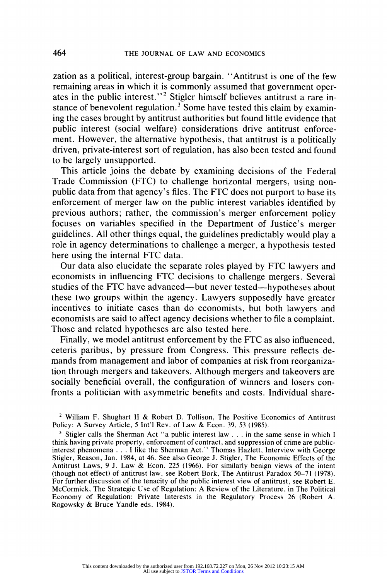**zation as a political, interest-group bargain. "Antitrust is one of the few remaining areas in which it is commonly assumed that government operates in the public interest."2 Stigler himself believes antitrust a rare instance of benevolent regulation.3 Some have tested this claim by examining the cases brought by antitrust authorities but found little evidence that public interest (social welfare) considerations drive antitrust enforcement. However, the alternative hypothesis, that antitrust is a politically driven, private-interest sort of regulation, has also been tested and found to be largely unsupported.** 

**This article joins the debate by examining decisions of the Federal Trade Commission (FTC) to challenge horizontal mergers, using nonpublic data from that agency's files. The FTC does not purport to base its enforcement of merger law on the public interest variables identified by previous authors; rather, the commission's merger enforcement policy focuses on variables specified in the Department of Justice's merger guidelines. All other things equal, the guidelines predictably would play a role in agency determinations to challenge a merger, a hypothesis tested here using the internal FTC data.** 

**Our data also elucidate the separate roles played by FTC lawyers and economists in influencing FTC decisions to challenge mergers. Several studies of the FTC have advanced-but never tested-hypotheses about these two groups within the agency. Lawyers supposedly have greater incentives to initiate cases than do economists, but both lawyers and economists are said to affect agency decisions whether to file a complaint. Those and related hypotheses are also tested here.** 

**Finally, we model antitrust enforcement by the FTC as also influenced, ceteris paribus, by pressure from Congress. This pressure reflects demands from management and labor of companies at risk from reorganization through mergers and takeovers. Although mergers and takeovers are socially beneficial overall, the configuration of winners and losers confronts a politician with asymmetric benefits and costs. Individual share-**

**<sup>2</sup>William F. Shughart II & Robert D. Tollison, The Positive Economics of Antitrust Policy: A Survey Article, 5 Int'l Rev. of Law & Econ. 39, 53 (1985).** 

**<sup>3</sup>Stigler calls the Sherman Act "a public interest law ... in the same sense in which I think having private property, enforcement of contract, and suppression of crime are publicinterest phenomena ... I like the Sherman Act." Thomas Hazlett, Interview with George Stigler, Reason, Jan. 1984, at 46. See also George J. Stigler, The Economic Effects of the Antitrust Laws, 9 J. Law & Econ. 225 (1966). For similarly benign views of the intent (though not effect) of antitrust law, see Robert Bork, The Antitrust Paradox 50-71 (1978). For further discussion of the tenacity of the public interest view of antitrust, see Robert E. McCormick, The Strategic Use of Regulation: A Review of the Literature, in The Political Economy of Regulation: Private Interests in the Regulatory Process 26 (Robert A. Rogowsky & Bruce Yandle eds. 1984).**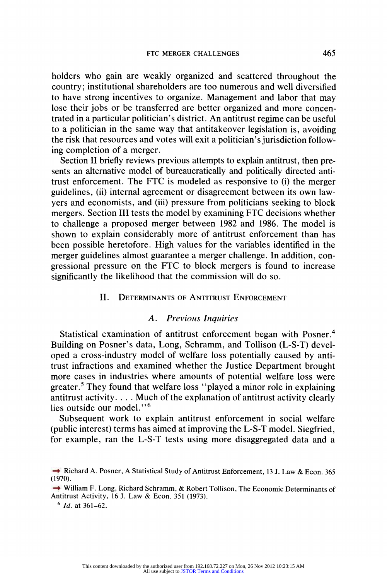**holders who gain are weakly organized and scattered throughout the country; institutional shareholders are too numerous and well diversified to have strong incentives to organize. Management and labor that may lose their jobs or be transferred are better organized and more concentrated in a particular politician's district. An antitrust regime can be useful to a politician in the same way that antitakeover legislation is, avoiding the risk that resources and votes will exit a politician's jurisdiction following completion of a merger.** 

**Section II briefly reviews previous attempts to explain antitrust, then presents an alternative model of bureaucratically and politically directed antitrust enforcement. The FTC is modeled as responsive to (i) the merger guidelines, (ii) internal agreement or disagreement between its own lawyers and economists, and (iii) pressure from politicians seeking to block mergers. Section III tests the model by examining FTC decisions whether to challenge a proposed merger between 1982 and 1986. The model is shown to explain considerably more of antitrust enforcement than has been possible heretofore. High values for the variables identified in the merger guidelines almost guarantee a merger challenge. In addition, congressional pressure on the FTC to block mergers is found to increase significantly the likelihood that the commission will do so.** 

# **II. DETERMINANTS OF ANTITRUST ENFORCEMENT**

# **A. Previous Inquiries**

**Statistical examination of antitrust enforcement began with Posner.4 Building on Posner's data, Long, Schramm, and Tollison (L-S-T) developed a cross-industry model of welfare loss potentially caused by antitrust infractions and examined whether the Justice Department brought more cases in industries where amounts of potential welfare loss were greater.5 They found that welfare loss "played a minor role in explaining antitrust activity .... Much of the explanation of antitrust activity clearly lies outside our model."6** 

**Subsequent work to explain antitrust enforcement in social welfare (public interest) terms has aimed at improving the L-S-T model. Siegfried, for example, ran the L-S-T tests using more disaggregated data and a** 

**<sup>4</sup>Richard A. Posner, A Statistical Study of Antitrust Enforcement, 13 J. Law & Econ. 365 (1970).** 

**<sup>5</sup>William F. Long, Richard Schramm, & Robert Tollison, The Economic Determinants of Antitrust Activity, 16 J. Law & Econ. 351 (1973).** 

**<sup>6</sup>Id. at 361-62.**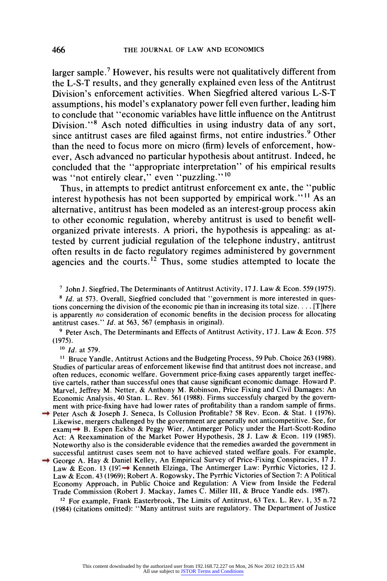**larger sample.7 However, his results were not qualitatively different from the L-S-T results, and they generally explained even less of the Antitrust Division's enforcement activities. When Siegfried altered various L-S-T assumptions, his model's explanatory power fell even further, leading him to conclude that "economic variables have little influence on the Antitrust Division."8 Asch noted difficulties in using industry data of any sort, since antitrust cases are filed against firms, not entire industries.9 Other than the need to focus more on micro (firm) levels of enforcement, however, Asch advanced no particular hypothesis about antitrust. Indeed, he concluded that the "appropriate interpretation" of his empirical results**  was "not entirely clear," even "puzzling."<sup>10</sup>

**Thus, in attempts to predict antitrust enforcement ex ante, the "public interest hypothesis has not been supported by empirical work."11 As an alternative, antitrust has been modeled as an interest-group process akin to other economic regulation, whereby antitrust is used to benefit wellorganized private interests. A priori, the hypothesis is appealing: as attested by current judicial regulation of the telephone industry, antitrust often results in de facto regulatory regimes administered by government agencies and the courts.12 Thus, some studies attempted to locate the** 

**<sup>7</sup>John J. Siegfried, The Determinants of Antitrust Activity, 17 J. Law & Econ. 559 (1975).** 

**8 Id. at 573. Overall, Siegfried concluded that "government is more interested in questions concerning the division of the economic pie than in increasing its total size .... [T]here**  is apparently no consideration of economic benefits in the decision process for allocating **antitrust cases." Id. at 563, 567 (emphasis in original).** 

**9 Peter Asch, The Determinants and Effects of Antitrust Activity, 17 J. Law & Econ. 575 (1975).** 

**10 Id. at 579.** 

<sup>11</sup> Bruce Yandle, Antitrust Actions and the Budgeting Process, 59 Pub. Choice 263 (1988). **Studies of particular areas of enforcement likewise find that antitrust does not increase, and often reduces, economic welfare. Government price-fixing cases apparently target ineffective cartels, rather than successful ones that cause significant economic damage. Howard P. Marvel, Jeffrey M. Netter, & Anthony M. Robinson, Price Fixing and Civil Damages: An Economic Analysis, 40 Stan. L. Rev. 561 (1988). Firms successfuly charged by the government with price-fixing have had lower rates of profitability than a random sample of firms.**  → Peter Asch & Joseph J. Seneca, Is Collusion Profitable? 58 Rev. Econ. & Stat. 1 (1976). **Likewise, mergers challenged by the government are generally not anticompetitive. See, for exami → B. Espen Eckbo & Peggy Wier, Antimerger Policy under the Hart-Scott-Rodino Act: A Reexamination of the Market Power Hypothesis, 28 J. Law & Econ. 119 (1985). Noteworthy also is the considerable evidence that the remedies awarded the government in successful antitrust cases seem not to have achieved stated welfare goals. For example, George A. Hay & Daniel Kelley, An Empirical Survey of Price-Fixing Conspiracies, 17 J.**  Law & Econ. 13 (197→ Kenneth Elzinga, The Antimerger Law: Pyrrhic Victories, 12 J. **Law & Econ. 43 (1969); Robert A. Rogowsky, The Pyrrhic Victories of Section 7: A Political Economy Approach, in Public Choice and Regulation: A View from Inside the Federal Trade Commission (Robert J. Mackay, James C. Miller III, & Bruce Yandle eds. 1987).** 

**<sup>12</sup>For example, Frank Easterbrook, The Limits of Antitrust, 63 Tex. L. Rev. 1, 35 n.72 (1984) (citations omitted): "Many antitrust suits are regulatory. The Department of Justice**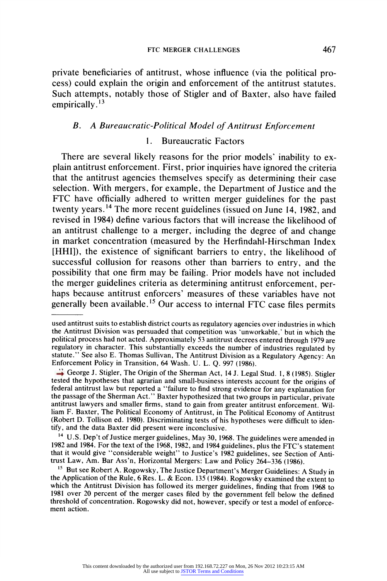**private beneficiaries of antitrust, whose influence (via the political process) could explain the origin and enforcement of the antitrust statutes. Such attempts, notably those of Stigler and of Baxter, also have failed empirically. 3** 

## **B. A Bureaucratic-Political Model of Antitrust Enforcement**

# **1. Bureaucratic Factors**

**There are several likely reasons for the prior models' inability to explain antitrust enforcement. First, prior inquiries have ignored the criteria that the antitrust agencies themselves specify as determining their case selection. With mergers, for example, the Department of Justice and the FTC have officially adhered to written merger guidelines for the past twenty years.14 The more recent guidelines (issued on June 14, 1982, and revised in 1984) define various factors that will increase the likelihood of an antitrust challenge to a merger, including the degree of and change in market concentration (measured by the Herfindahl-Hirschman Index [HHI]), the existence of significant barriers to entry, the likelihood of successful collusion for reasons other than barriers to entry, and the possibility that one firm may be failing. Prior models have not included the merger guidelines criteria as determining antitrust enforcement, perhaps because antitrust enforcers' measures of these variables have not generally been available.15 Our access to internal FTC case files permits** 

**<sup>14</sup>U.S. Dep't of Justice merger guidelines, May 30, 1968. The guidelines were amended in 1982 and 1984. For the text of the 1968, 1982, and 1984 guidelines, plus the FTC's statement that it would give "considerable weight" to Justice's 1982 guidelines, see Section of Antitrust Law, Am. Bar Ass'n, Horizontal Mergers: Law and Policy 264-336 (1986).** 

**used antitrust suits to establish district courts as regulatory agencies over industries in which the Antitrust Division was persuaded that competition was 'unworkable,' but in which the political process had not acted. Approximately 53 antitrust decrees entered through 1979 are regulatory in character. This substantially exceeds the number of industries regulated by statute." See also E. Thomas Sullivan, The Antitrust Division as a Regulatory Agency: An Enforcement Policy in Transition, 64 Wash. U. L. Q. 997 (1986).** 

**<sup>13</sup>George J. Stigler, The Origin of the Sherman Act, 14 J. Legal Stud. 1, 8 (1985). Stigler tested the hypotheses that agrarian and small-business interests account for the origins of federal antitrust law but reported a "failure to find strong evidence for any explanation for the passage of the Sherman Act." Baxter hypothesized that two groups in particular, private antitrust lawyers and smaller firms, stand to gain from greater antitrust enforcement. William F. Baxter, The Political Economy of Antitrust, in The Political Economy of Antitrust (Robert D. Tollison ed. 1980). Discriminating tests of his hypotheses were difficult to identify, and the data Baxter did present were inconclusive.** 

**<sup>15</sup>But see Robert A. Rogowsky, The Justice Department's Merger Guidelines: A Study in the Application of the Rule, 6 Res. L. & Econ. 135 (1984). Rogowsky examined the extent to which the Antitrust Division has followed its merger guidelines, finding that from 1968 to 1981 over 20 percent of the merger cases filed by the government fell below the defined threshold of concentration. Rogowsky did not, however, specify or test a model of enforcement action.**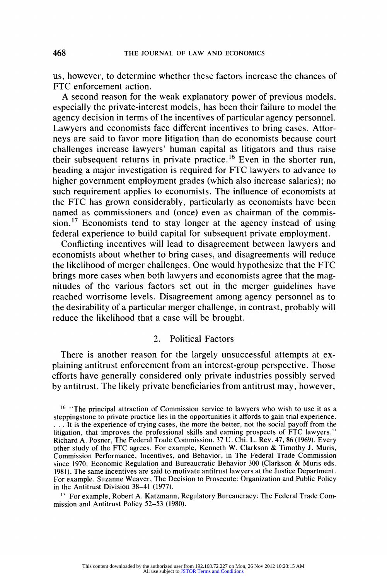**us, however, to determine whether these factors increase the chances of FTC enforcement action.** 

**A second reason for the weak explanatory power of previous models, especially the private-interest models, has been their failure to model the agency decision in terms of the incentives of particular agency personnel. Lawyers and economists face different incentives to bring cases. Attorneys are said to favor more litigation than do economists because court challenges increase lawyers' human capital as litigators and thus raise their subsequent returns in private practice.16 Even in the shorter run, heading a major investigation is required for FTC lawyers to advance to higher government employment grades (which also increase salaries); no such requirement applies to economists. The influence of economists at the FTC has grown considerably, particularly as economists have been named as commissioners and (once) even as chairman of the commission.17 Economists tend to stay longer at the agency instead of using federal experience to build capital for subsequent private employment.** 

**Conflicting incentives will lead to disagreement between lawyers and economists about whether to bring cases, and disagreements will reduce the likelihood of merger challenges. One would hypothesize that the FTC brings more cases when both lawyers and economists agree that the magnitudes of the various factors set out in the merger guidelines have reached worrisome levels. Disagreement among agency personnel as to the desirability of a particular merger challenge, in contrast, probably will reduce the likelihood that a case will be brought.** 

### **2. Political Factors**

**There is another reason for the largely unsuccessful attempts at explaining antitrust enforcement from an interest-group perspective. Those efforts have generally considered only private industries possibly served by antitrust. The likely private beneficiaries from antitrust may, however,** 

**17 For example, Robert A. Katzmann, Regulatory Bureaucracy: The Federal Trade Commission and Antitrust Policy 52-53 (1980).** 

**<sup>16</sup>"The principal attraction of Commission service to lawyers who wish to use it as a steppingstone to private practice lies in the opportunities it affords to gain trial experience. . . It is the experience of trying cases, the more the better, not the social payoff from the litigation, that improves the professional skills and earning prospects of FTC lawyers." Richard A. Posner, The Federal Trade Commission, 37 U. Chi. L. Rev. 47, 86 (1969). Every other study of the FTC agrees. For example, Kenneth W. Clarkson & Timothy J. Muris, Commission Performance, Incentives, and Behavior, in The Federal Trade Commission since 1970: Economic Regulation and Bureaucratic Behavior 300 (Clarkson & Muris eds. 1981). The same incentives are said to motivate antitrust lawyers at the Justice Department. For example, Suzanne Weaver, The Decision to Prosecute: Organization and Public Policy in the Antitrust Division 38-41 (1977).**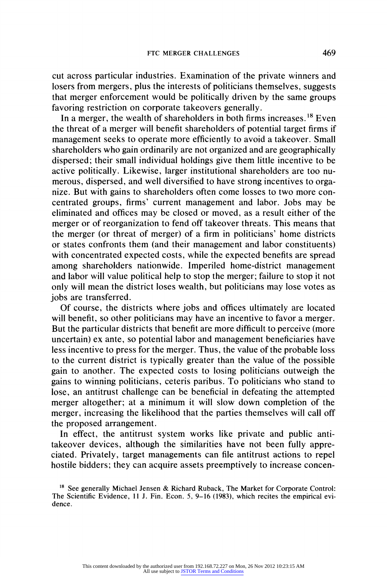**cut across particular industries. Examination of the private winners and losers from mergers, plus the interests of politicians themselves, suggests that merger enforcement would be politically driven by the same groups favoring restriction on corporate takeovers generally.** 

**In a merger, the wealth of shareholders in both firms increases.18 Even the threat of a merger will benefit shareholders of potential target firms if management seeks to operate more efficiently to avoid a takeover. Small shareholders who gain ordinarily are not organized and are geographically dispersed; their small individual holdings give them little incentive to be active politically. Likewise, larger institutional shareholders are too numerous, dispersed, and well diversified to have strong incentives to organize. But with gains to shareholders often come losses to two more concentrated groups, firms' current management and labor. Jobs may be eliminated and offices may be closed or moved, as a result either of the merger or of reorganization to fend off takeover threats. This means that the merger (or threat of merger) of a firm in politicians' home districts or states confronts them (and their management and labor constituents) with concentrated expected costs, while the expected benefits are spread among shareholders nationwide. Imperiled home-district management and labor will value political help to stop the merger; failure to stop it not only will mean the district loses wealth, but politicians may lose votes as jobs are transferred.** 

**Of course, the districts where jobs and offices ultimately are located will benefit, so other politicians may have an incentive to favor a merger. But the particular districts that benefit are more difficult to perceive (more uncertain) ex ante, so potential labor and management beneficiaries have less incentive to press for the merger. Thus, the value of the probable loss to the current district is typically greater than the value of the possible gain to another. The expected costs to losing politicians outweigh the gains to winning politicians, ceteris paribus. To politicians who stand to lose, an antitrust challenge can be beneficial in defeating the attempted merger altogether; at a minimum it will slow down completion of the merger, increasing the likelihood that the parties themselves will call off the proposed arrangement.** 

**In effect, the antitrust system works like private and public antitakeover devices, although the similarities have not been fully appreciated. Privately, target managements can file antitrust actions to repel hostile bidders; they can acquire assets preemptively to increase concen-**

**<sup>18</sup>See generally Michael Jensen & Richard Ruback, The Market for Corporate Control: The Scientific Evidence, 11 J. Fin. Econ. 5, 9-16 (1983), which recites the empirical evidence.**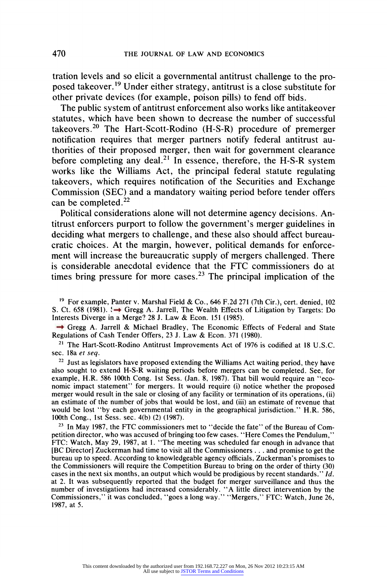**tration levels and so elicit a governmental antitrust challenge to the proposed takeover.19 Under either strategy, antitrust is a close substitute for other private devices (for example, poison pills) to fend off bids.** 

**The public system of antitrust enforcement also works like antitakeover statutes, which have been shown to decrease the number of successful takeovers.20 The Hart-Scott-Rodino (H-S-R) procedure of premerger notification requires that merger partners notify federal antitrust authorities of their proposed merger, then wait for government clearance before completing any deal.2' In essence, therefore, the H-S-R system works like the Williams Act, the principal federal statute regulating takeovers, which requires notification of the Securities and Exchange Commission (SEC) and a mandatory waiting period before tender offers can be completed.22** 

**Political considerations alone will not determine agency decisions. Antitrust enforcers purport to follow the government's merger guidelines in deciding what mergers to challenge, and these also should affect bureaucratic choices. At the margin, however, political demands for enforcement will increase the bureaucratic supply of mergers challenged. There is considerable anecdotal evidence that the FTC commissioners do at times bring pressure for more cases.23 The principal implication of the** 

**<sup>19</sup>For example, Panter v. Marshal Field & Co., 646 F.2d 271 (7th Cir.), cert. denied, 102**  S. Ct. 658 (1981). <sup>{</sup>→ Gregg A. Jarrell, The Wealth Effects of Litigation by Targets: Do **Interests Diverge in a Merge? 28 J. Law & Econ. 151 (1985).** 

**<sup>20</sup>Gregg A. Jarrell & Michael Bradley, The Economic Effects of Federal and State Regulations of Cash Tender Offers, 23 J. Law & Econ. 371 (1980).** 

**<sup>21</sup>The Hart-Scott-Rodino Antitrust Improvements Act of 1976 is codified at 18 U.S.C. sec. 18a et seq.** 

**<sup>22</sup>Just as legislators have proposed extending the Williams Act waiting period, they have also sought to extend H-S-R waiting periods before mergers can be completed. See, for example, H.R. 586 100th Cong. 1st Sess. (Jan. 8, 1987). That bill would require an "economic impact statement" for mergers. It would require (i) notice whether the proposed merger would result in the sale or closing of any facility or termination of its operations, (ii) an estimate of the number of jobs that would be lost, and (iii) an estimate of revenue that would be lost "by each governmental entity in the geographical jurisdiction." H.R. 586, 100th Cong., 1st Sess. sec. 4(b) (2) (1987).** 

**23 In May 1987, the FTC commissioners met to "decide the fate" of the Bureau of Competition director, who was accused of bringing too few cases. "Here Comes the Pendulum," FTC: Watch, May 29, 1987, at 1. "The meeting was scheduled far enough in advance that [BC Director] Zuckerman had time to visit all the Commissioners ... and promise to get the bureau up to speed. According to knowledgeable agency officials, Zuckerman's promises to the Commissioners will require the Competition Bureau to bring on the order of thirty (30) cases in the next six months, an output which would be prodigious by recent standards." Id. at 2. It was subsequently reported that the budget for merger surveillance and thus the number of investigations had increased considerably. "A little direct intervention by the Commissioners," it was concluded, "goes a long way." "Mergers," FTC: Watch, June 26, 1987, at 5.**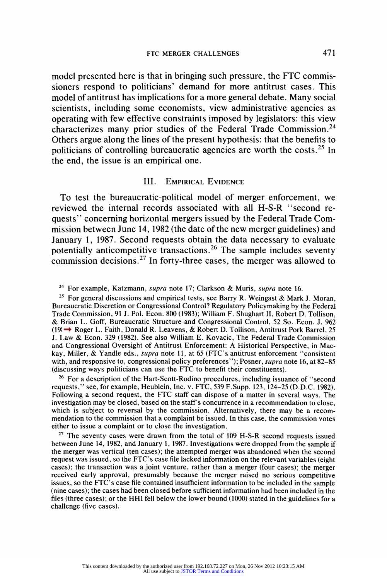**model presented here is that in bringing such pressure, the FTC commissioners respond to politicians' demand for more antitrust cases. This model of antitrust has implications for a more general debate. Many social scientists, including some economists, view administrative agencies as operating with few effective constraints imposed by legislators: this view characterizes many prior studies of the Federal Trade Commission.24 Others argue along the lines of the present hypothesis: that the benefits to politicians of controlling bureaucratic agencies are worth the costs.25 In the end, the issue is an empirical one.** 

## **III. EMPIRICAL EVIDENCE**

**To test the bureaucratic-political model of merger enforcement, we reviewed the internal records associated with all H-S-R "second requests" concerning horizontal mergers issued by the Federal Trade Commission between June 14, 1982 (the date of the new merger guidelines) and January 1, 1987. Second requests obtain the data necessary to evaluate potentially anticompetitive transactions.26 The sample includes seventy commission decisions.27 In forty-three cases, the merger was allowed to** 

**<sup>25</sup>For general discussions and empirical tests, see Barry R. Weingast & Mark J. Moran, Bureaucratic Discretion or Congressional Control? Regulatory Policymaking by the Federal Trade Commission, 91 J. Pol. Econ. 800 (1983); William F. Shughart II, Robert D. Tollison, & Brian L. Goff, Bureaucratic Structure and Congressional Control, 52 So. Econ. J. 962 (1982); Roger L. Faith, Donald R. Leavens, & Robert D. Tollison, Antitrust Pork Barrel, 25 J. Law & Econ. 329 (1982). See also William E. Kovacic, The Federal Trade Commission and Congressional Oversight of Antitrust Enforcement: A Historical Perspective, in Mackay, Miller, & Yandle eds., supra note 11, at 65 (FTC's antitrust enforcement "consistent with, and responsive to, congressional policy preferences"); Posner, supra note 16, at 82-85 (discussing ways politicians can use the FTC to benefit their constituents).** 

**<sup>26</sup>For a description of the Hart-Scott-Rodino procedures, including issuance of "second requests," see, for example, Heublein, Inc. v. FTC, 539 F.Supp. 123, 124-25 (D.D.C. 1982). Following a second request, the FTC staff can dispose of a matter in several ways. The investigation may be closed, based on the staff's concurrence in a recommendation to close, which is subject to reversal by the commission. Alternatively, there may be a recommendation to the commission that a complaint be issued. In this case, the commission votes either to issue a complaint or to close the investigation.** 

**<sup>27</sup>The seventy cases were drawn from the total of 109 H-S-R second requests issued between June 14, 1982, and January 1, 1987. Investigations were dropped from the sample if the merger was vertical (ten cases); the attempted merger was abandoned when the second request was issued, so the FTC's case file lacked information on the relevant variables (eight cases); the transaction was a joint venture, rather than a merger (four cases); the merger received early approval, presumably because the merger raised no serious competitive issues, so the FTC's case file contained insufficient information to be included in the sample (nine cases); the cases had been closed before sufficient information had been included in the files (three cases); or the HHI fell below the lower bound (1000) stated in the guidelines for a challenge (five cases).** 

**<sup>24</sup>For example, Katzmann, supra note 17; Clarkson & Muris, supra note 16.**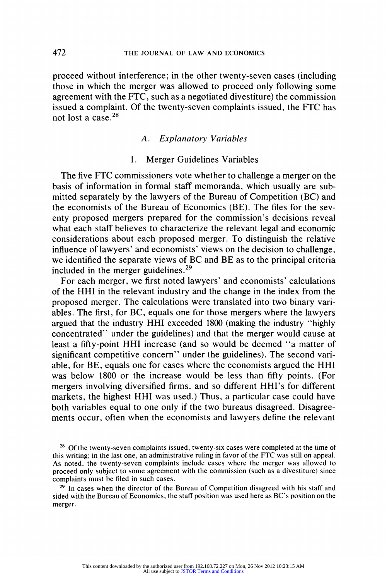**proceed without interference; in the other twenty-seven cases (including those in which the merger was allowed to proceed only following some agreement with the FTC, such as a negotiated divestiture) the commission issued a complaint. Of the twenty-seven complaints issued, the FTC has not lost a case.28** 

# **A. Explanatory Variables**

#### **1. Merger Guidelines Variables**

**The five FTC commissioners vote whether to challenge a merger on the basis of information in formal staff memoranda, which usually are submitted separately by the lawyers of the Bureau of Competition (BC) and the economists of the Bureau of Economics (BE). The files for the seventy proposed mergers prepared for the commission's decisions reveal what each staff believes to characterize the relevant legal and economic considerations about each proposed merger. To distinguish the relative influence of lawyers' and economists' views on the decision to challenge, we identified the separate views of BC and BE as to the principal criteria included in the merger guidelines.29** 

**For each merger, we first noted lawyers' and economists' calculations of the HHI in the relevant industry and the change in the index from the proposed merger. The calculations were translated into two binary variables. The first, for BC, equals one for those mergers where the lawyers argued that the industry HHI exceeded 1800 (making the industry "highly concentrated" under the guidelines) and that the merger would cause at least a fifty-point HHI increase (and so would be deemed "a matter of significant competitive concern" under the guidelines). The second variable, for BE, equals one for cases where the economists argued the HHI was below 1800 or the increase would be less than fifty points. (For mergers involving diversified firms, and so different HHI's for different markets, the highest HHI was used.) Thus, a particular case could have both variables equal to one only if the two bureaus disagreed. Disagreements occur, often when the economists and lawyers define the relevant** 

**<sup>28</sup>Of the twenty-seven complaints issued, twenty-six cases were completed at the time of this writing; in the last one, an administrative ruling in favor of the FTC was still on appeal. As noted, the twenty-seven complaints include cases where the merger was allowed to proceed only subject to some agreement with the commission (such as a divestiture) since complaints must be filed in such cases.** 

**<sup>29</sup>In cases when the director of the Bureau of Competition disagreed with his staff and sided with the Bureau of Economics, the staff position was used here as BC's position on the merger.**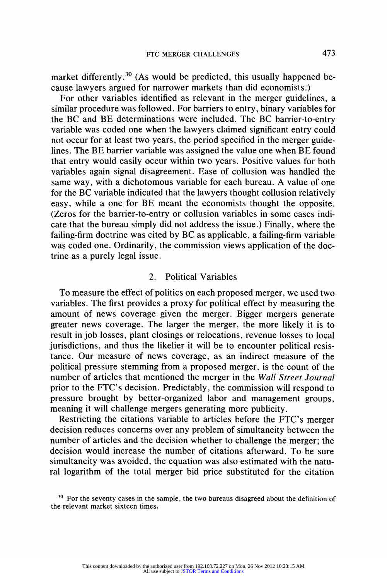market differently.<sup>30</sup> (As would be predicted, this usually happened be**cause lawyers argued for narrower markets than did economists.)** 

**For other variables identified as relevant in the merger guidelines, a similar procedure was followed. For barriers to entry, binary variables for the BC and BE determinations were included. The BC barrier-to-entry variable was coded one when the lawyers claimed significant entry could not occur for at least two years, the period specified in the merger guidelines. The BE barrier variable was assigned the value one when BE found that entry would easily occur within two years. Positive values for both variables again signal disagreement. Ease of collusion was handled the same way, with a dichotomous variable for each bureau. A value of one for the BC variable indicated that the lawyers thought collusion relatively easy, while a one for BE meant the economists thought the opposite. (Zeros for the barrier-to-entry or collusion variables in some cases indicate that the bureau simply did not address the issue.) Finally, where the failing-firm doctrine was cited by BC as applicable, a failing-firm variable was coded one. Ordinarily, the commission views application of the doctrine as a purely legal issue.** 

### **2. Political Variables**

**To measure the effect of politics on each proposed merger, we used two variables. The first provides a proxy for political effect by measuring the amount of news coverage given the merger. Bigger mergers generate greater news coverage. The larger the merger, the more likely it is to result in job losses, plant closings or relocations, revenue losses to local jurisdictions, and thus the likelier it will be to encounter political resistance. Our measure of news coverage, as an indirect measure of the political pressure stemming from a proposed merger, is the count of the number of articles that mentioned the merger in the Wall Street Journal prior to the FTC's decision. Predictably, the commission will respond to pressure brought by better-organized labor and management groups, meaning it will challenge mergers generating more publicity.** 

**Restricting the citations variable to articles before the FTC's merger decision reduces concerns over any problem of simultaneity between the number of articles and the decision whether to challenge the merger; the decision would increase the number of citations afterward. To be sure simultaneity was avoided, the equation was also estimated with the natural logarithm of the total merger bid price substituted for the citation** 

**<sup>30</sup>For the seventy cases in the sample, the two bureaus disagreed about the definition of the relevant market sixteen times.**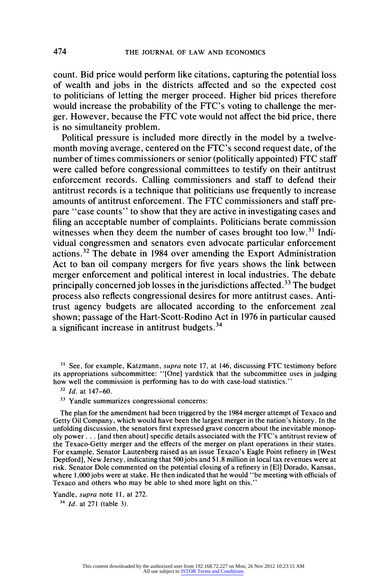**count. Bid price would perform like citations, capturing the potential loss of wealth and jobs in the districts affected and so the expected cost to politicians of letting the merger proceed. Higher bid prices therefore would increase the probability of the FTC's voting to challenge the merger. However, because the FTC vote would not affect the bid price, there is no simultaneity problem.** 

**Political pressure is included more directly in the model by a twelvemonth moving average, centered on the FTC's second request date, of the number of times commissioners or senior (politically appointed) FTC staff were called before congressional committees to testify on their antitrust enforcement records. Calling commissioners and staff to defend their antitrust records is a technique that politicians use frequently to increase amounts of antitrust enforcement. The FTC commissioners and staff prepare "case counts" to show that they are active in investigating cases and filing an acceptable number of complaints. Politicians berate commission**  witnesses when they deem the number of cases brought too low.<sup>31</sup> Indi**vidual congressmen and senators even advocate particular enforcement actions.32 The debate in 1984 over amending the Export Administration Act to ban oil company mergers for five years shows the link between merger enforcement and political interest in local industries. The debate principally concerned job losses in the jurisdictions affected.33 The budget process also reflects congressional desires for more antitrust cases. Antitrust agency budgets are allocated according to the enforcement zeal shown; passage of the Hart-Scott-Rodino Act in 1976 in particular caused a significant increase in antitrust budgets.34** 

**<sup>31</sup>See, for example, Katzmann, supra note 17, at 146, discussing FTC testimony before its appropriations subcommittee: "[One] yardstick that the subcommittee uses in judging how well the commission is performing has to do with case-load statistics."** 

**<sup>32</sup>Id. at 147-60.** 

**33 Yandle summarizes congressional concerns:** 

**The plan for the amendment had been triggered by the 1984 merger attempt of Texaco and Getty Oil Company, which would have been the largest merger in the nation's history. In the unfolding discussion, the senators first expressed grave concern about the inevitable monopoly power ... [and then about] specific details associated with the FTC's antitrust review of the Texaco-Getty merger and the effects of the merger on plant operations in their states. For example, Senator Lautenberg raised as an issue Texaco's Eagle Point refinery in [West Deptford], New Jersey, indicating that 500 jobs and \$1.8 million in local tax revenues were at risk. Senator Dole commented on the potential closing of a refinery in [El] Dorado, Kansas, where 1,000 jobs were at stake. He then indicated that he would "be meeting with officials of Texaco and others who may be able to shed more light on this."** 

**Yandle, supra note 11, at 272.** 

**<sup>34</sup>Id. at 271 (table 3).**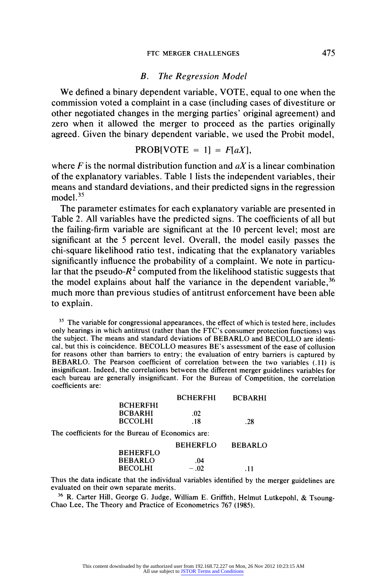#### **FTC MERGER CHALLENGES**

#### **B. The Regression Model**

**We defined a binary dependent variable, VOTE, equal to one when the commission voted a complaint in a case (including cases of divestiture or other negotiated changes in the merging parties' original agreement) and zero when it allowed the merger to proceed as the parties originally agreed. Given the binary dependent variable, we used the Probit model,** 

$$
PROB[VOTE = 1] = F[aX],
$$

**where F is the normal distribution function and aX is a linear combination of the explanatory variables. Table 1 lists the independent variables, their means and standard deviations, and their predicted signs in the regression model.35** 

**The parameter estimates for each explanatory variable are presented in Table 2. All variables have the predicted signs. The coefficients of all but the failing-firm variable are significant at the 10 percent level; most are significant at the 5 percent level. Overall, the model easily passes the chi-square likelihood ratio test, indicating that the explanatory variables significantly influence the probability of a complaint. We note in particu**lar that the pseudo- $R^2$  computed from the likelihood statistic suggests that **the model explains about half the variance in the dependent variable,36 much more than previous studies of antitrust enforcement have been able to explain.** 

**<sup>35</sup>The variable for congressional appearances, the effect of which is tested here, includes only hearings in which antitrust (rather than the FTC's consumer protection functions) was the subject. The means and standard deviations of BEBARLO and BECOLLO are identical, but this is coincidence. BECOLLO measures BE's assessment of the ease of collusion for reasons other than barriers to entry; the evaluation of entry barriers is captured by BEBARLO. The Pearson coefficient of correlation between the two variables (.11) is insignificant. Indeed, the correlations between the different merger guidelines variables for each bureau are generally insignificant. For the Bureau of Competition, the correlation coefficients are:** 

|                 | <b>BCHERFHI</b> | <b>BCBARHI</b> |
|-----------------|-----------------|----------------|
| <b>BCHERFHI</b> |                 |                |
| <b>BCBARHI</b>  | .02             |                |
| BCCOLHI         | . 18            | .28            |
|                 |                 |                |

**The coefficients for the Bureau of Economics are:** 

|                 | <b>BEHERFLO</b> | <b>BEBARLO</b> |
|-----------------|-----------------|----------------|
| <b>BEHERFLO</b> |                 |                |
| <b>BEBARLO</b>  | .04             |                |
| BECOLHI         | $-.02$          | .11            |
|                 |                 |                |

**Thus the data indicate that the individual variables identified by the merger guidelines are evaluated on their own separate merits.** 

**36 R. Carter Hill, George G. Judge, William E. Griffith, Helmut Lutkepohl, & Tsoung-Chao Lee, The Theory and Practice of Econometrics 767 (1985).**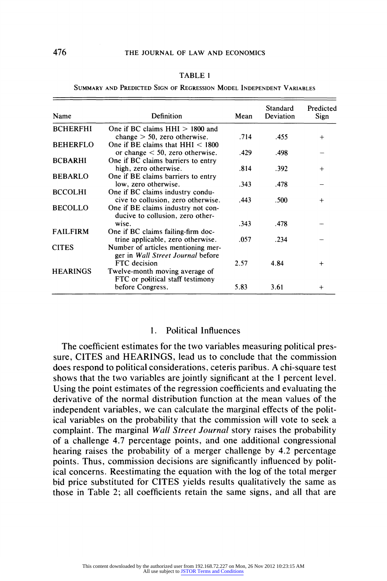#### **TABLE 1**

**SUMMARY AND PREDICTED SIGN OF REGRESSION MODEL INDEPENDENT VARIABLES** 

| Name            | Definition                         | Mean | Standard<br>Deviation | Predicted<br>Sign |
|-----------------|------------------------------------|------|-----------------------|-------------------|
| <b>BCHERFHI</b> | One if BC claims $HHI > 1800$ and  |      |                       |                   |
|                 | change $> 50$ , zero otherwise.    | .714 | .455                  | $^{+}$            |
| <b>BEHERFLO</b> | One if BE claims that $HHI < 1800$ |      |                       |                   |
|                 | or change $<$ 50, zero otherwise.  | .429 | .498                  |                   |
| <b>BCBARHI</b>  | One if BC claims barriers to entry |      |                       |                   |
|                 | high, zero otherwise.              | .814 | .392                  | $^{+}$            |
| <b>BEBARLO</b>  | One if BE claims barriers to entry |      |                       |                   |
|                 | low, zero otherwise.               | .343 | .478                  |                   |
| <b>BCCOLHI</b>  | One if BC claims industry condu-   |      |                       |                   |
|                 | cive to collusion, zero otherwise. | .443 | .500                  | $+$               |
| <b>BECOLLO</b>  | One if BE claims industry not con- |      |                       |                   |
|                 | ducive to collusion, zero other-   |      |                       |                   |
|                 | wise.                              | .343 | .478                  |                   |
| <b>FAILFIRM</b> | One if BC claims failing-firm doc- |      |                       |                   |
|                 | trine applicable, zero otherwise.  | .057 | .234                  |                   |
| <b>CITES</b>    | Number of articles mentioning mer- |      |                       |                   |
|                 | ger in Wall Street Journal before  |      |                       |                   |
|                 | FTC decision                       | 2.57 | 4.84                  | $\overline{+}$    |
| <b>HEARINGS</b> | Twelve-month moving average of     |      |                       |                   |
|                 | FTC or political staff testimony   |      |                       |                   |
|                 | before Congress.                   | 5.83 | 3.61                  | $^{+}$            |

## **1. Political Influences**

**The coefficient estimates for the two variables measuring political pressure, CITES and HEARINGS, lead us to conclude that the commission does respond to political considerations, ceteris paribus. A chi-square test shows that the two variables are jointly significant at the 1 percent level. Using the point estimates of the regression coefficients and evaluating the derivative of the normal distribution function at the mean values of the independent variables, we can calculate the marginal effects of the political variables on the probability that the commission will vote to seek a complaint. The marginal Wall Street Journal story raises the probability of a challenge 4.7 percentage points, and one additional congressional hearing raises the probability of a merger challenge by 4.2 percentage points. Thus, commission decisions are significantly influenced by political concerns. Reestimating the equation with the log of the total merger bid price substituted for CITES yields results qualitatively the same as those in Table 2; all coefficients retain the same signs, and all that are**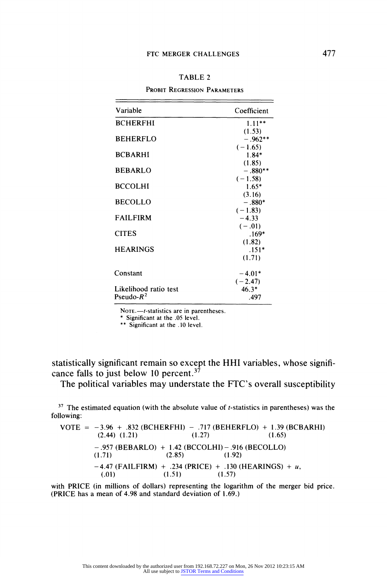| Variable              | Coefficient          |  |  |  |
|-----------------------|----------------------|--|--|--|
| <b>BCHERFHI</b>       | $1.11**$             |  |  |  |
|                       | (1.53)               |  |  |  |
| <b>BEHERFLO</b>       | $-.962**$            |  |  |  |
|                       | $(-1.65)$            |  |  |  |
| <b>BCBARHI</b>        | $1.84*$              |  |  |  |
|                       | (1.85)               |  |  |  |
| <b>BEBARLO</b>        | $-.880**$            |  |  |  |
|                       | $(-1.58)$            |  |  |  |
| <b>BCCOLHI</b>        | $1.65*$              |  |  |  |
| <b>BECOLLO</b>        | (3.16)               |  |  |  |
|                       | $-.880*$             |  |  |  |
| <b>FAILFIRM</b>       | $(-1.83)$<br>$-4.33$ |  |  |  |
|                       | $(-.01)$             |  |  |  |
| <b>CITES</b>          | $.169*$              |  |  |  |
|                       | (1.82)               |  |  |  |
| <b>HEARINGS</b>       | $.151*$              |  |  |  |
|                       | (1.71)               |  |  |  |
|                       |                      |  |  |  |
| Constant              | $-4.01*$             |  |  |  |
|                       | $(-2.47)$            |  |  |  |
| Likelihood ratio test | $46.3*$              |  |  |  |
| Pseudo- $R^2$         | .497                 |  |  |  |

|  | ı<br>. .<br>ı |  |  |
|--|---------------|--|--|
|--|---------------|--|--|

**PROBIT REGRESSION PARAMETERS** 

NOTE.--t-statistics are in parentheses.<br>\* Significant at the .05 level.

**\* Significant at the .10 level.** 

**statistically significant remain so except the HHI variables, whose significance falls to just below 10 percent.37** 

**The political variables may understate the FTC's overall susceptibility** 

**37 The estimated equation (with the absolute value of t-statistics in parentheses) was the following:** 

**VOTE =**  $-3.96 + .832$  **(BCHERFHI) - .717 (BEHERFLO) + 1.39 (BCBARHI)**  $(1.24)$  (1.27)  $(1.65)$  $(2.44)$   $(1.21)$ **- .957 (BEBARLO) + 1.42 (BCCOLHI)-.916 (BECOLLO)**   $(2.85)$  $-4.47$  (FAILFIRM) + .234 (PRICE) + .130 (HEARINGS) + u,  $(0.01)$   $(1.51)$   $(1.57)$  $(1.51)$ 

**with PRICE (in millions of dollars) representing the logarithm of the merger bid price. (PRICE has a mean of 4.98 and standard deviation of 1.69.)**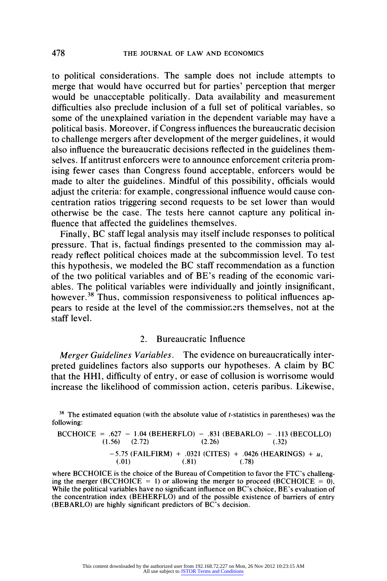**to political considerations. The sample does not include attempts to merge that would have occurred but for parties' perception that merger would be unacceptable politically. Data availability and measurement difficulties also preclude inclusion of a full set of political variables, so some of the unexplained variation in the dependent variable may have a political basis. Moreover, if Congress influences the bureaucratic decision to challenge mergers after development of the merger guidelines, it would also influence the bureaucratic decisions reflected in the guidelines themselves. If antitrust enforcers were to announce enforcement criteria promising fewer cases than Congress found acceptable, enforcers would be made to alter the guidelines. Mindful of this possibility, officials would adjust the criteria: for example, congressional influence would cause concentration ratios triggering second requests to be set lower than would otherwise be the case. The tests here cannot capture any political influence that affected the guidelines themselves.** 

**Finally, BC staff legal analysis may itself include responses to political pressure. That is, factual findings presented to the commission may already reflect political choices made at the subcommission level. To test this hypothesis, we modeled the BC staff recommendation as a function of the two political variables and of BE's reading of the economic variables. The political variables were individually and jointly insignificant, however.38 Thus, commission responsiveness to political influences appears to reside at the level of the commissioners themselves, not at the staff level.** 

### **2. Bureaucratic Influence**

**Merger Guidelines Variables. The evidence on bureaucratically interpreted guidelines factors also supports our hypotheses. A claim by BC that the HHI, difficulty of entry, or ease of collusion is worrisome would increase the likelihood of commission action, ceteris paribus. Likewise,** 

<sup>38</sup> The estimated equation (with the absolute value of *t*-statistics in parentheses) was the **following:** 

|                   |        | $BCCHOICE = .627 - 1.04$ (BEHERFLO) - .831 (BEBARLO) - .113 (BECOLLO) |  |
|-------------------|--------|-----------------------------------------------------------------------|--|
| $(1.56)$ $(2.72)$ | (2.26) | (.32)                                                                 |  |
|                   |        | $-5.75$ (FAILFIRM) + .0321 (CITES) + .0426 (HEARINGS) + u.            |  |
| (.01)             | (.81)  | (.78)                                                                 |  |

**where BCCHOICE is the choice of the Bureau of Competition to favor the FTC's challeng**ing the merger (BCCHOICE = 1) or allowing the merger to proceed (BCCHOICE =  $\ddot{\text{o}}$ ). **While the political variables have no significant influence on BC's choice, BE's evaluation of the concentration index (BEHERFLO) and of the possible existence of barriers of entry (BEBARLO) are highly significant predictors of BC's decision.**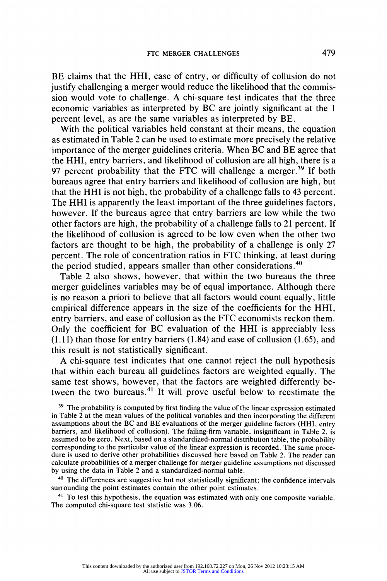**BE claims that the HHI, ease of entry, or difficulty of collusion do not justify challenging a merger would reduce the likelihood that the commission would vote to challenge. A chi-square test indicates that the three economic variables as interpreted by BC are jointly significant at the 1 percent level, as are the same variables as interpreted by BE.** 

**With the political variables held constant at their means, the equation as estimated in Table 2 can be used to estimate more precisely the relative importance of the merger guidelines criteria. When BC and BE agree that the HHI, entry barriers, and likelihood of collusion are all high, there is a 97 percent probability that the FTC will challenge a merger.39 If both bureaus agree that entry barriers and likelihood of collusion are high, but that the HHI is not high, the probability of a challenge falls to 43 percent. The HHI is apparently the least important of the three guidelines factors, however. If the bureaus agree that entry barriers are low while the two other factors are high, the probability of a challenge falls to 21 percent. If the likelihood of collusion is agreed to be low even when the other two factors are thought to be high, the probability of a challenge is only 27 percent. The role of concentration ratios in FTC thinking, at least during the period studied, appears smaller than other considerations.40** 

**Table 2 also shows, however, that within the two bureaus the three merger guidelines variables may be of equal importance. Although there is no reason a priori to believe that all factors would count equally, little empirical difference appears in the size of the coefficients for the HHI, entry barriers, and ease of collusion as the FTC economists reckon them. Only the coefficient for BC evaluation of the HHI is appreciably less (1.11) than those for entry barriers (1.84) and ease of collusion (1.65), and this result is not statistically significant.** 

**A chi-square test indicates that one cannot reject the null hypothesis that within each bureau all guidelines factors are weighted equally. The same test shows, however, that the factors are weighted differently between the two bureaus.4' It will prove useful below to reestimate the** 

**<sup>40</sup>The differences are suggestive but not statistically significant; the confidence intervals surrounding the point estimates contain the other point estimates.** 

**<sup>41</sup>To test this hypothesis, the equation was estimated with only one composite variable. The computed chi-square test statistic was 3.06.** 

**<sup>39</sup>The probability is computed by first finding the value of the linear expression estimated in Table 2 at the mean values of the political variables and then incorporating the different assumptions about the BC and BE evaluations of the merger guideline factors (HHI, entry barriers, and likelihood of collusion). The failing-firm variable, insignificant in Table 2, is assumed to be zero. Next, based on a standardized-normal distribution table, the probability corresponding to the particular value of the linear expression is recorded. The same procedure is used to derive other probabilities discussed here based on Table 2. The reader can calculate probabilities of a merger challenge for merger guideline assumptions not discussed by using the data in Table 2 and a standardized-normal table.**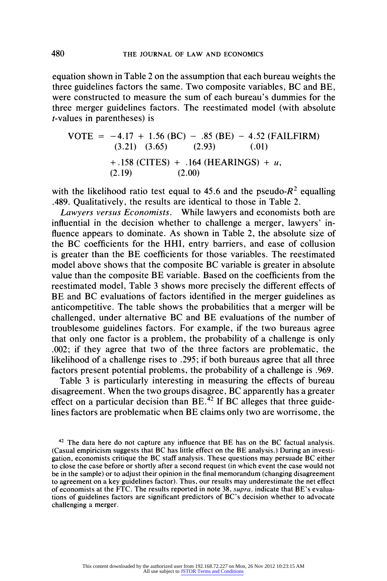**equation shown in Table 2 on the assumption that each bureau weights the three guidelines factors the same. Two composite variables, BC and BE, were constructed to measure the sum of each bureau's dummies for the three merger guidelines factors. The reestimated model (with absolute t-values in parentheses) is** 

\n
$$
\text{VOTE} = -4.17 + 1.56 \, (\text{BC}) - .85 \, (\text{BE}) - 4.52 \, (\text{FAILFIRM})
$$
\n

\n\n $\begin{aligned}\n &\text{(3.21)} \quad (3.65) \\
&\text{(2.93)} \quad (0.01) \\
&\text{(3.19)} \quad (2.00)\n \end{aligned}$ \n

\n\n $\begin{aligned}\n &\text{(01)} \\
&\text{(2.19)} \quad (2.00)\n \end{aligned}$ \n

with the likelihood ratio test equal to 45.6 and the pseudo- $R^2$  equalling **.489. Qualitatively, the results are identical to those in Table 2.** 

**Lawyers versus Economists. While lawyers and economists both are influential in the decision whether to challenge a merger, lawyers' influence appears to dominate. As shown in Table 2, the absolute size of the BC coefficients for the HHI, entry barriers, and ease of collusion is greater than the BE coefficients for those variables. The reestimated model above shows that the composite BC variable is greater in absolute value than the composite BE variable. Based on the coefficients from the reestimated model, Table 3 shows more precisely the different effects of BE and BC evaluations of factors identified in the merger guidelines as anticompetitive. The table shows the probabilities that a merger will be challenged, under alternative BC and BE evaluations of the number of troublesome guidelines factors. For example, if the two bureaus agree that only one factor is a problem, the probability of a challenge is only .002; if they agree that two of the three factors are problematic, the likelihood of a challenge rises to .295; if both bureaus agree that all three factors present potential problems, the probability of a challenge is .969.** 

**Table 3 is particularly interesting in measuring the effects of bureau disagreement. When the two groups disagree, BC apparently has a greater**  effect on a particular decision than BE.<sup>42</sup> If BC alleges that three guide**lines factors are problematic when BE claims only two are worrisome, the** 

**<sup>42</sup>The data here do not capture any influence that BE has on the BC factual analysis. (Casual empiricism suggests that BC has little effect on the BE analysis.) During an investigation, economists critique the BC staff analysis. These questions may persuade BC either to close the case before or shortly after a second request (in which event the case would not be in the sample) or to adjust their opinion in the final memorandum (changing disagreement to agreement on a key guidelines factor). Thus, our results may underestimate the net effect of economists at the FTC. The results reported in note 38, supra, indicate that BE's evaluations of guidelines factors are significant predictors of BC's decision whether to advocate challenging a merger.**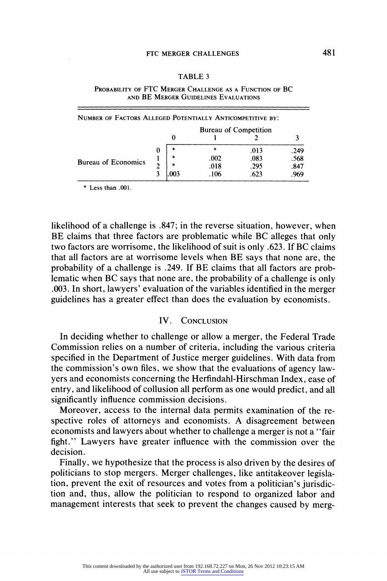#### **TABLE 3**

| NUMBER OF FACTORS ALLEGED POTENTIALLY ANTICOMPETITIVE BY: |                              |        |      |      |      |
|-----------------------------------------------------------|------------------------------|--------|------|------|------|
|                                                           | <b>Bureau of Competition</b> |        |      |      |      |
|                                                           |                              |        |      |      |      |
| <b>Bureau of Economics</b>                                | 0                            |        | *    | .013 | .249 |
|                                                           |                              | $\ast$ | .002 | .083 | .568 |
|                                                           |                              | *      | .018 | .295 | .847 |
|                                                           |                              | .003   | .106 | .623 | .969 |

#### **PROBABILITY OF FTC MERGER CHALLENGE AS A FUNCTION OF BC AND BE MERGER GUIDELINES EVALUATIONS**

**\* Less than .001.** 

**likelihood of a challenge is .847; in the reverse situation, however, when BE claims that three factors are problematic while BC alleges that only two factors are worrisome, the likelihood of suit is only .623. If BC claims that all factors are at worrisome levels when BE says that none are, the probability of a challenge is .249. If BE claims that all factors are problematic when BC says that none are, the probability of a challenge is only .003. In short, lawyers' evaluation of the variables identified in the merger guidelines has a greater effect than does the evaluation by economists.** 

# **IV. CONCLUSION**

**In deciding whether to challenge or allow a merger, the Federal Trade Commission relies on a number of criteria, including the various criteria specified in the Department of Justice merger guidelines. With data from the commission's own files, we show that the evaluations of agency lawyers and economists concerning the Herfindahl-Hirschman Index, ease of entry, and likelihood of collusion all perform as one would predict, and all significantly influence commission decisions.** 

**Moreover, access to the internal data permits examination of the respective roles of attorneys and economists. A disagreement between economists and lawyers about whether to challenge a merger is not a "fair fight." Lawyers have greater influence with the commission over the decision.** 

**Finally, we hypothesize that the process is also driven by the desires of politicians to stop mergers. Merger challenges, like antitakeover legislation, prevent the exit of resources and votes from a politician's jurisdiction and, thus, allow the politician to respond to organized labor and management interests that seek to prevent the changes caused by merg-**